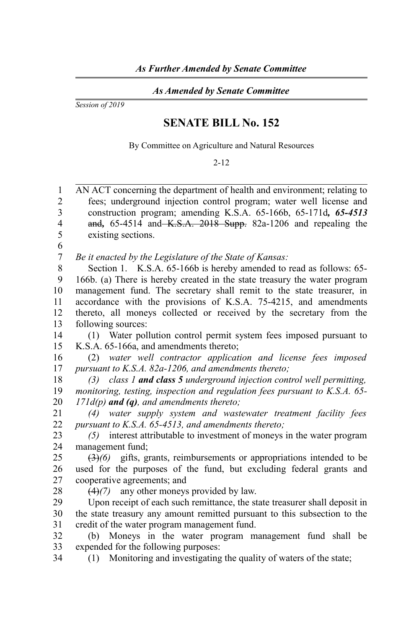*As Amended by Senate Committee*

*Session of 2019*

## **SENATE BILL No. 152**

By Committee on Agriculture and Natural Resources

## 2-12

AN ACT concerning the department of health and environment; relating to fees; underground injection control program; water well license and construction program; amending K.S.A. 65-166b, 65-171d*, 65-4513* and*,* 65-4514 and K.S.A. 2018 Supp. 82a-1206 and repealing the existing sections. 1  $\mathfrak{D}$ 3 4 5

6

*Be it enacted by the Legislature of the State of Kansas:* 7

Section 1. K.S.A. 65-166b is hereby amended to read as follows: 65-166b. (a) There is hereby created in the state treasury the water program management fund. The secretary shall remit to the state treasurer, in accordance with the provisions of K.S.A. 75-4215, and amendments thereto, all moneys collected or received by the secretary from the following sources: 8 9 10 11 12 13

(1) Water pollution control permit system fees imposed pursuant to K.S.A. 65-166a, and amendments thereto; 14 15

(2) *water well contractor application and license fees imposed pursuant to K.S.A. 82a-1206, and amendments thereto;* 16 17

*(3) class 1 and class 5 underground injection control well permitting, monitoring, testing, inspection and regulation fees pursuant to K.S.A. 65- 171d(p) and (q), and amendments thereto;* 18 19 20

*(4) water supply system and wastewater treatment facility fees pursuant to K.S.A. 65-4513, and amendments thereto;* 21 22

*(5)* interest attributable to investment of moneys in the water program management fund; 23  $24$ 

(3)*(6)* gifts, grants, reimbursements or appropriations intended to be used for the purposes of the fund, but excluding federal grants and cooperative agreements; and 25 26 27

28

34

(4)*(7)* any other moneys provided by law.

Upon receipt of each such remittance, the state treasurer shall deposit in the state treasury any amount remitted pursuant to this subsection to the credit of the water program management fund. 29 30 31

(b) Moneys in the water program management fund shall be expended for the following purposes: 32 33

(1) Monitoring and investigating the quality of waters of the state;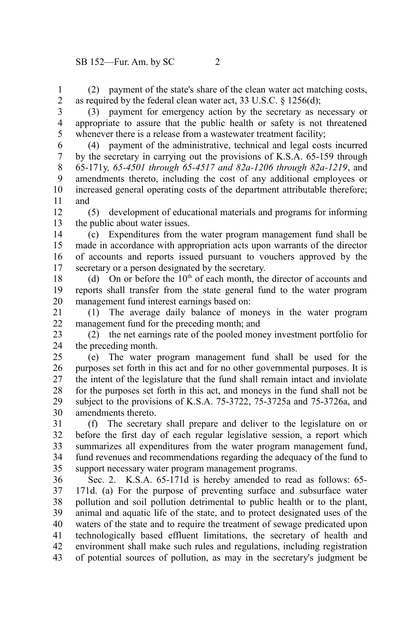(2) payment of the state's share of the clean water act matching costs, as required by the federal clean water act, 33 U.S.C. § 1256(d); 1 2

3

(3) payment for emergency action by the secretary as necessary or appropriate to assure that the public health or safety is not threatened whenever there is a release from a wastewater treatment facility; 4 5

(4) payment of the administrative, technical and legal costs incurred by the secretary in carrying out the provisions of K.S.A. 65-159 through 65-171y*, 65-4501 through 65-4517 and 82a-1206 through 82a-1219*, and amendments thereto, including the cost of any additional employees or increased general operating costs of the department attributable therefore; and 6 7 8 9 10 11

(5) development of educational materials and programs for informing the public about water issues. 12 13

(c) Expenditures from the water program management fund shall be made in accordance with appropriation acts upon warrants of the director of accounts and reports issued pursuant to vouchers approved by the secretary or a person designated by the secretary. 14 15 16 17

(d) On or before the  $10<sup>th</sup>$  of each month, the director of accounts and reports shall transfer from the state general fund to the water program management fund interest earnings based on: 18 19 20

(1) The average daily balance of moneys in the water program management fund for the preceding month; and 21 22

(2) the net earnings rate of the pooled money investment portfolio for the preceding month. 23 24

(e) The water program management fund shall be used for the purposes set forth in this act and for no other governmental purposes. It is the intent of the legislature that the fund shall remain intact and inviolate for the purposes set forth in this act, and moneys in the fund shall not be subject to the provisions of K.S.A. 75-3722, 75-3725a and 75-3726a, and amendments thereto. 25 26 27 28 29 30

(f) The secretary shall prepare and deliver to the legislature on or before the first day of each regular legislative session, a report which summarizes all expenditures from the water program management fund, fund revenues and recommendations regarding the adequacy of the fund to support necessary water program management programs. 31 32 33 34 35

Sec. 2. K.S.A. 65-171d is hereby amended to read as follows: 65-171d. (a) For the purpose of preventing surface and subsurface water pollution and soil pollution detrimental to public health or to the plant, animal and aquatic life of the state, and to protect designated uses of the waters of the state and to require the treatment of sewage predicated upon technologically based effluent limitations, the secretary of health and environment shall make such rules and regulations, including registration of potential sources of pollution, as may in the secretary's judgment be 36 37 38 39 40 41 42 43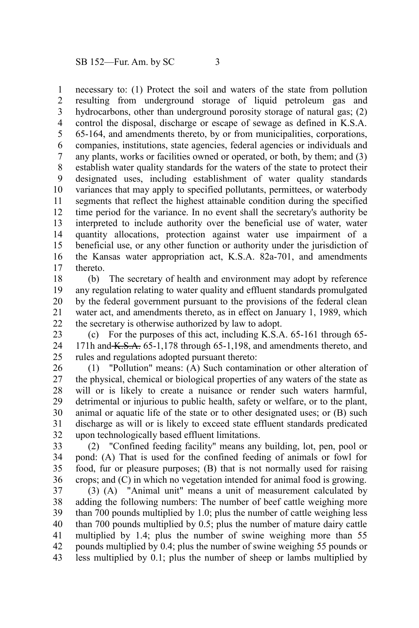necessary to: (1) Protect the soil and waters of the state from pollution resulting from underground storage of liquid petroleum gas and hydrocarbons, other than underground porosity storage of natural gas; (2) control the disposal, discharge or escape of sewage as defined in K.S.A. 65-164, and amendments thereto, by or from municipalities, corporations, companies, institutions, state agencies, federal agencies or individuals and any plants, works or facilities owned or operated, or both, by them; and (3) establish water quality standards for the waters of the state to protect their designated uses, including establishment of water quality standards variances that may apply to specified pollutants, permittees, or waterbody segments that reflect the highest attainable condition during the specified time period for the variance. In no event shall the secretary's authority be interpreted to include authority over the beneficial use of water, water quantity allocations, protection against water use impairment of a beneficial use, or any other function or authority under the jurisdiction of the Kansas water appropriation act, K.S.A. 82a-701, and amendments thereto. 1 2 3 4 5 6 7 8 9 10 11 12 13 14 15 16 17

(b) The secretary of health and environment may adopt by reference any regulation relating to water quality and effluent standards promulgated by the federal government pursuant to the provisions of the federal clean water act, and amendments thereto, as in effect on January 1, 1989, which the secretary is otherwise authorized by law to adopt. 18 19 20 21 22

(c) For the purposes of this act, including K.S.A. 65-161 through 65- 171h and  $K.S.A.$  65-1,178 through 65-1,198, and amendments thereto, and rules and regulations adopted pursuant thereto: 23 24 25

(1) "Pollution" means: (A) Such contamination or other alteration of the physical, chemical or biological properties of any waters of the state as will or is likely to create a nuisance or render such waters harmful, detrimental or injurious to public health, safety or welfare, or to the plant, animal or aquatic life of the state or to other designated uses; or (B) such discharge as will or is likely to exceed state effluent standards predicated upon technologically based effluent limitations. 26 27 28 29 30 31 32

(2) "Confined feeding facility" means any building, lot, pen, pool or pond: (A) That is used for the confined feeding of animals or fowl for food, fur or pleasure purposes; (B) that is not normally used for raising crops; and (C) in which no vegetation intended for animal food is growing. 33 34 35 36

(3) (A) "Animal unit" means a unit of measurement calculated by adding the following numbers: The number of beef cattle weighing more than 700 pounds multiplied by 1.0; plus the number of cattle weighing less than 700 pounds multiplied by 0.5; plus the number of mature dairy cattle multiplied by 1.4; plus the number of swine weighing more than 55 pounds multiplied by 0.4; plus the number of swine weighing 55 pounds or less multiplied by 0.1; plus the number of sheep or lambs multiplied by 37 38 39 40 41 42 43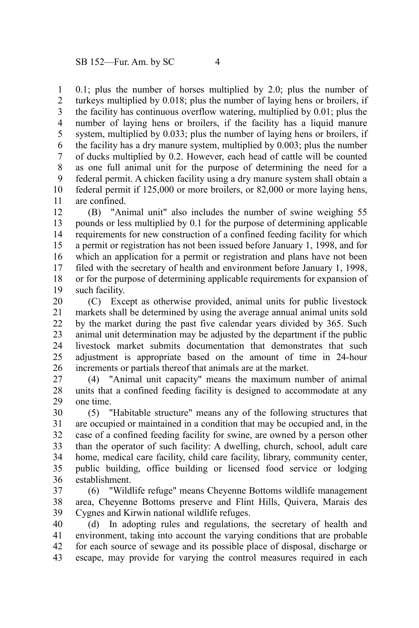0.1; plus the number of horses multiplied by 2.0; plus the number of turkeys multiplied by 0.018; plus the number of laying hens or broilers, if the facility has continuous overflow watering, multiplied by 0.01; plus the number of laying hens or broilers, if the facility has a liquid manure system, multiplied by 0.033; plus the number of laying hens or broilers, if the facility has a dry manure system, multiplied by 0.003; plus the number of ducks multiplied by 0.2. However, each head of cattle will be counted as one full animal unit for the purpose of determining the need for a federal permit. A chicken facility using a dry manure system shall obtain a federal permit if 125,000 or more broilers, or 82,000 or more laying hens, are confined. 1 2 3 4 5 6 7 8 9 10 11

(B) "Animal unit" also includes the number of swine weighing 55 pounds or less multiplied by 0.1 for the purpose of determining applicable requirements for new construction of a confined feeding facility for which a permit or registration has not been issued before January 1, 1998, and for which an application for a permit or registration and plans have not been filed with the secretary of health and environment before January 1, 1998, or for the purpose of determining applicable requirements for expansion of such facility. 12 13 14 15 16 17 18 19

(C) Except as otherwise provided, animal units for public livestock markets shall be determined by using the average annual animal units sold by the market during the past five calendar years divided by 365. Such animal unit determination may be adjusted by the department if the public livestock market submits documentation that demonstrates that such adjustment is appropriate based on the amount of time in 24-hour increments or partials thereof that animals are at the market. 20 21 22 23 24 25 26

(4) "Animal unit capacity" means the maximum number of animal units that a confined feeding facility is designed to accommodate at any one time. 27 28 29

(5) "Habitable structure" means any of the following structures that are occupied or maintained in a condition that may be occupied and, in the case of a confined feeding facility for swine, are owned by a person other than the operator of such facility: A dwelling, church, school, adult care home, medical care facility, child care facility, library, community center, public building, office building or licensed food service or lodging establishment. 30 31 32 33 34 35 36

(6) "Wildlife refuge" means Cheyenne Bottoms wildlife management area, Cheyenne Bottoms preserve and Flint Hills, Quivera, Marais des Cygnes and Kirwin national wildlife refuges. 37 38 39

(d) In adopting rules and regulations, the secretary of health and environment, taking into account the varying conditions that are probable for each source of sewage and its possible place of disposal, discharge or escape, may provide for varying the control measures required in each 40 41 42 43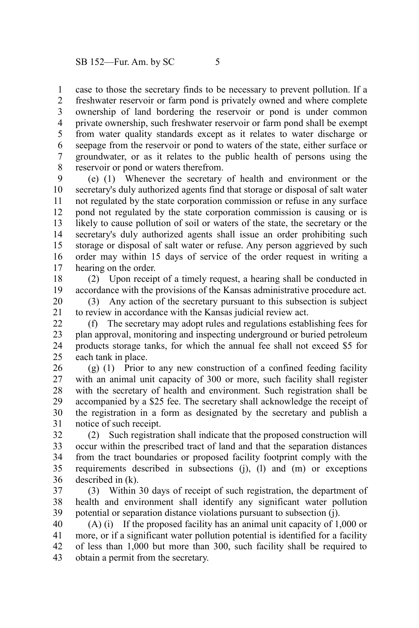case to those the secretary finds to be necessary to prevent pollution. If a freshwater reservoir or farm pond is privately owned and where complete ownership of land bordering the reservoir or pond is under common private ownership, such freshwater reservoir or farm pond shall be exempt from water quality standards except as it relates to water discharge or seepage from the reservoir or pond to waters of the state, either surface or groundwater, or as it relates to the public health of persons using the reservoir or pond or waters therefrom. 1 2 3 4 5 6 7 8

(e) (1) Whenever the secretary of health and environment or the secretary's duly authorized agents find that storage or disposal of salt water not regulated by the state corporation commission or refuse in any surface pond not regulated by the state corporation commission is causing or is likely to cause pollution of soil or waters of the state, the secretary or the secretary's duly authorized agents shall issue an order prohibiting such storage or disposal of salt water or refuse. Any person aggrieved by such order may within 15 days of service of the order request in writing a hearing on the order. 9 10 11 12 13 14 15 16 17

(2) Upon receipt of a timely request, a hearing shall be conducted in accordance with the provisions of the Kansas administrative procedure act. 18 19

(3) Any action of the secretary pursuant to this subsection is subject to review in accordance with the Kansas judicial review act. 20 21

(f) The secretary may adopt rules and regulations establishing fees for plan approval, monitoring and inspecting underground or buried petroleum products storage tanks, for which the annual fee shall not exceed \$5 for each tank in place. 22 23 24 25

(g) (1) Prior to any new construction of a confined feeding facility with an animal unit capacity of 300 or more, such facility shall register with the secretary of health and environment. Such registration shall be accompanied by a \$25 fee. The secretary shall acknowledge the receipt of the registration in a form as designated by the secretary and publish a notice of such receipt. 26 27 28 29 30 31

(2) Such registration shall indicate that the proposed construction will occur within the prescribed tract of land and that the separation distances from the tract boundaries or proposed facility footprint comply with the requirements described in subsections (j), (l) and (m) or exceptions described in (k). 32 33 34 35 36

(3) Within 30 days of receipt of such registration, the department of health and environment shall identify any significant water pollution potential or separation distance violations pursuant to subsection (j). 37 38 39

(A) (i) If the proposed facility has an animal unit capacity of 1,000 or more, or if a significant water pollution potential is identified for a facility of less than 1,000 but more than 300, such facility shall be required to obtain a permit from the secretary. 40 41 42 43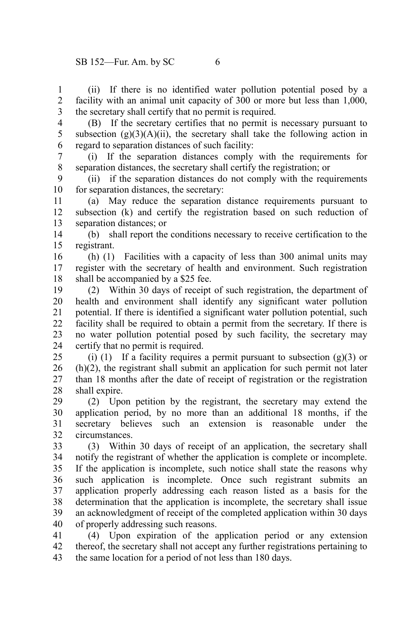(ii) If there is no identified water pollution potential posed by a facility with an animal unit capacity of 300 or more but less than 1,000, the secretary shall certify that no permit is required. 1 2 3

4 5 6

(B) If the secretary certifies that no permit is necessary pursuant to subsection  $(g)(3)(A)(ii)$ , the secretary shall take the following action in regard to separation distances of such facility:

(i) If the separation distances comply with the requirements for separation distances, the secretary shall certify the registration; or 7 8

(ii) if the separation distances do not comply with the requirements for separation distances, the secretary: 9 10

(a) May reduce the separation distance requirements pursuant to subsection (k) and certify the registration based on such reduction of separation distances; or 11 12 13

(b) shall report the conditions necessary to receive certification to the registrant. 14 15

(h) (1) Facilities with a capacity of less than 300 animal units may register with the secretary of health and environment. Such registration shall be accompanied by a \$25 fee. 16 17 18

(2) Within 30 days of receipt of such registration, the department of health and environment shall identify any significant water pollution potential. If there is identified a significant water pollution potential, such facility shall be required to obtain a permit from the secretary. If there is no water pollution potential posed by such facility, the secretary may certify that no permit is required. 19 20 21 22 23 24

(i) (1) If a facility requires a permit pursuant to subsection  $(g)(3)$  or (h)(2), the registrant shall submit an application for such permit not later than 18 months after the date of receipt of registration or the registration shall expire. 25 26 27 28

(2) Upon petition by the registrant, the secretary may extend the application period, by no more than an additional 18 months, if the secretary believes such an extension is reasonable under the circumstances. 29 30 31 32

(3) Within 30 days of receipt of an application, the secretary shall notify the registrant of whether the application is complete or incomplete. If the application is incomplete, such notice shall state the reasons why such application is incomplete. Once such registrant submits an application properly addressing each reason listed as a basis for the determination that the application is incomplete, the secretary shall issue an acknowledgment of receipt of the completed application within 30 days of properly addressing such reasons. 33 34 35 36 37 38 39 40

(4) Upon expiration of the application period or any extension thereof, the secretary shall not accept any further registrations pertaining to the same location for a period of not less than 180 days. 41 42 43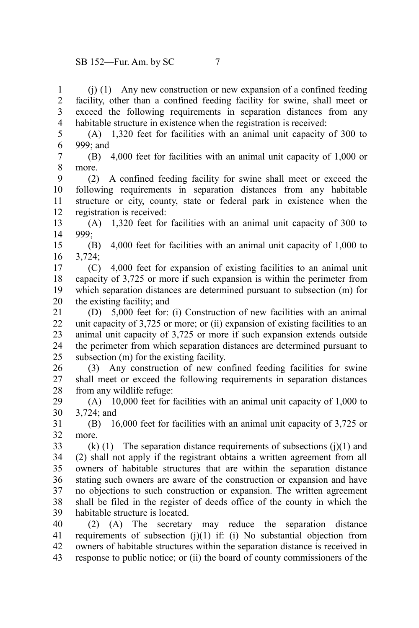(j) (1) Any new construction or new expansion of a confined feeding facility, other than a confined feeding facility for swine, shall meet or exceed the following requirements in separation distances from any habitable structure in existence when the registration is received: 1  $\mathcal{L}$ 3 4

(A) 1,320 feet for facilities with an animal unit capacity of 300 to 999; and 5 6

(B) 4,000 feet for facilities with an animal unit capacity of 1,000 or more. 7 8

(2) A confined feeding facility for swine shall meet or exceed the following requirements in separation distances from any habitable structure or city, county, state or federal park in existence when the registration is received: 9 10 11 12

(A) 1,320 feet for facilities with an animal unit capacity of 300 to 999; 13 14

(B) 4,000 feet for facilities with an animal unit capacity of 1,000 to 3,724; 15 16

(C) 4,000 feet for expansion of existing facilities to an animal unit capacity of 3,725 or more if such expansion is within the perimeter from which separation distances are determined pursuant to subsection (m) for the existing facility; and 17 18 19 20

(D) 5,000 feet for: (i) Construction of new facilities with an animal unit capacity of 3,725 or more; or (ii) expansion of existing facilities to an animal unit capacity of 3,725 or more if such expansion extends outside the perimeter from which separation distances are determined pursuant to subsection (m) for the existing facility. 21 22 23 24 25

(3) Any construction of new confined feeding facilities for swine shall meet or exceed the following requirements in separation distances from any wildlife refuge: 26 27 28

(A) 10,000 feet for facilities with an animal unit capacity of 1,000 to 3,724; and 29 30

(B) 16,000 feet for facilities with an animal unit capacity of 3,725 or more. 31 32

 $(k)$  (1) The separation distance requirements of subsections (j)(1) and (2) shall not apply if the registrant obtains a written agreement from all owners of habitable structures that are within the separation distance stating such owners are aware of the construction or expansion and have no objections to such construction or expansion. The written agreement shall be filed in the register of deeds office of the county in which the habitable structure is located. 33 34 35 36 37 38 39

(2) (A) The secretary may reduce the separation distance requirements of subsection  $(i)(1)$  if:  $(i)$  No substantial objection from owners of habitable structures within the separation distance is received in response to public notice; or (ii) the board of county commissioners of the 40 41 42 43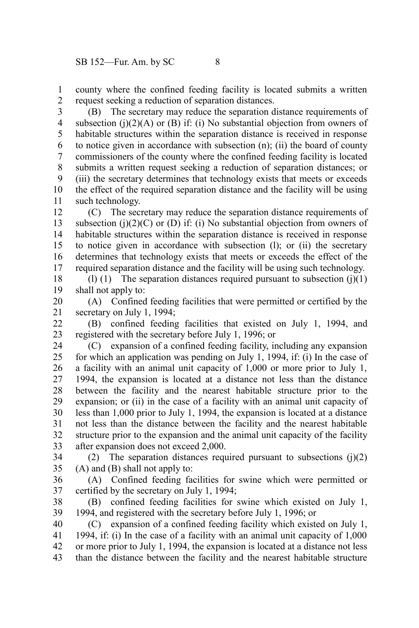county where the confined feeding facility is located submits a written request seeking a reduction of separation distances. 1 2

(B) The secretary may reduce the separation distance requirements of subsection (j) $(2)(A)$  or (B) if: (i) No substantial objection from owners of habitable structures within the separation distance is received in response to notice given in accordance with subsection (n); (ii) the board of county commissioners of the county where the confined feeding facility is located submits a written request seeking a reduction of separation distances; or (iii) the secretary determines that technology exists that meets or exceeds the effect of the required separation distance and the facility will be using such technology. 3 4 5 6 7 8 9 10 11

(C) The secretary may reduce the separation distance requirements of subsection (j)(2)(C) or (D) if: (i) No substantial objection from owners of habitable structures within the separation distance is received in response to notice given in accordance with subsection (l); or (ii) the secretary determines that technology exists that meets or exceeds the effect of the required separation distance and the facility will be using such technology. 12 13 14 15 16 17

(l) (1) The separation distances required pursuant to subsection  $(i)(1)$ shall not apply to: 18 19

(A) Confined feeding facilities that were permitted or certified by the secretary on July 1, 1994; 20 21

(B) confined feeding facilities that existed on July 1, 1994, and registered with the secretary before July 1, 1996; or 22 23

(C) expansion of a confined feeding facility, including any expansion for which an application was pending on July 1, 1994, if: (i) In the case of a facility with an animal unit capacity of 1,000 or more prior to July 1, 1994, the expansion is located at a distance not less than the distance between the facility and the nearest habitable structure prior to the expansion; or (ii) in the case of a facility with an animal unit capacity of less than 1,000 prior to July 1, 1994, the expansion is located at a distance not less than the distance between the facility and the nearest habitable structure prior to the expansion and the animal unit capacity of the facility after expansion does not exceed 2,000. 24 25 26 27 28 29 30 31 32 33

(2) The separation distances required pursuant to subsections  $(i)(2)$ (A) and (B) shall not apply to: 34 35

(A) Confined feeding facilities for swine which were permitted or certified by the secretary on July 1, 1994; 36 37

(B) confined feeding facilities for swine which existed on July 1, 1994, and registered with the secretary before July 1, 1996; or 38 39

(C) expansion of a confined feeding facility which existed on July 1, 1994, if: (i) In the case of a facility with an animal unit capacity of 1,000 or more prior to July 1, 1994, the expansion is located at a distance not less than the distance between the facility and the nearest habitable structure 40 41 42 43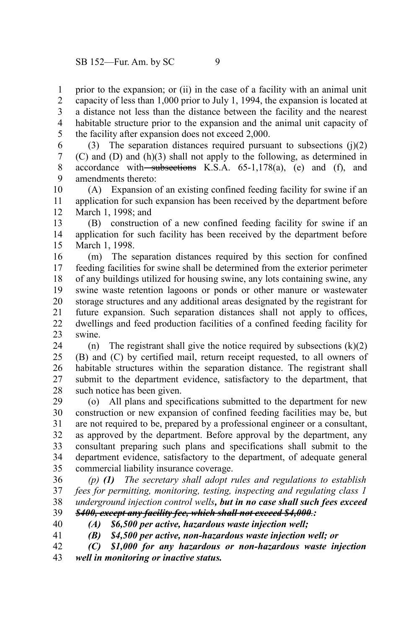prior to the expansion; or (ii) in the case of a facility with an animal unit capacity of less than 1,000 prior to July 1, 1994, the expansion is located at a distance not less than the distance between the facility and the nearest habitable structure prior to the expansion and the animal unit capacity of the facility after expansion does not exceed 2,000. 1 2 3 4 5

(3) The separation distances required pursuant to subsections  $(i)(2)$ (C) and (D) and (h)(3) shall not apply to the following, as determined in accordance with subsections K.S.A.  $65-1,178(a)$ , (e) and (f), and amendments thereto: 6 7 8 9

(A) Expansion of an existing confined feeding facility for swine if an application for such expansion has been received by the department before March 1, 1998; and 10 11 12

(B) construction of a new confined feeding facility for swine if an application for such facility has been received by the department before March 1, 1998. 13 14 15

(m) The separation distances required by this section for confined feeding facilities for swine shall be determined from the exterior perimeter of any buildings utilized for housing swine, any lots containing swine, any swine waste retention lagoons or ponds or other manure or wastewater storage structures and any additional areas designated by the registrant for future expansion. Such separation distances shall not apply to offices, dwellings and feed production facilities of a confined feeding facility for swine. 16 17 18 19 20 21 22 23

(n) The registrant shall give the notice required by subsections  $(k)(2)$ (B) and (C) by certified mail, return receipt requested, to all owners of habitable structures within the separation distance. The registrant shall submit to the department evidence, satisfactory to the department, that such notice has been given. 24 25 26 27 28

(o) All plans and specifications submitted to the department for new construction or new expansion of confined feeding facilities may be, but are not required to be, prepared by a professional engineer or a consultant, as approved by the department. Before approval by the department, any consultant preparing such plans and specifications shall submit to the department evidence, satisfactory to the department, of adequate general commercial liability insurance coverage. 29 30 31 32 33 34 35

*(p) (1) The secretary shall adopt rules and regulations to establish fees for permitting, monitoring, testing, inspecting and regulating class 1 underground injection control wells, but in no case shall such fees exceed \$400, except any facility fee, which shall not exceed \$4,000.:* 36 37 38 39

40 41 *(A) \$6,500 per active, hazardous waste injection well;*

*(B) \$4,500 per active, non-hazardous waste injection well; or*

*(C) \$1,000 for any hazardous or non-hazardous waste injection well in monitoring or inactive status.* 42 43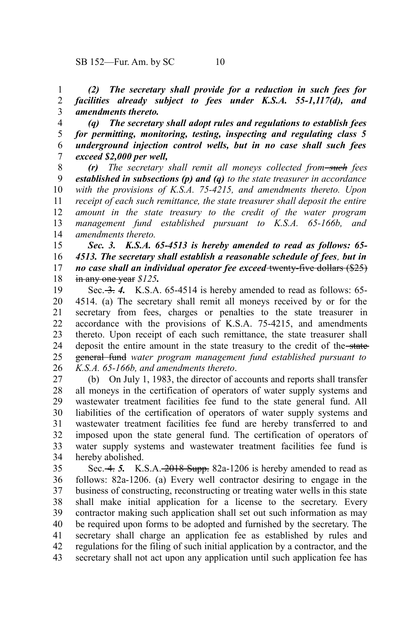*(2) The secretary shall provide for a reduction in such fees for facilities already subject to fees under K.S.A. 55-1,117(d), and amendments thereto.* 1 2 3

*(q) The secretary shall adopt rules and regulations to establish fees for permitting, monitoring, testing, inspecting and regulating class 5 underground injection control wells, but in no case shall such fees exceed \$2,000 per well,* 4 5 6 7

*(r) The secretary shall remit all moneys collected from such fees established in subsections (p) and (q) to the state treasurer in accordance with the provisions of K.S.A. 75-4215, and amendments thereto. Upon receipt of each such remittance, the state treasurer shall deposit the entire amount in the state treasury to the credit of the water program management fund established pursuant to K.S.A. 65-166b, and amendments thereto.* 8 9 10 11 12 13 14

*Sec. 3. K.S.A. 65-4513 is hereby amended to read as follows: 65- 4513. The secretary shall establish a reasonable schedule of fees, but in no case shall an individual operator fee exceed* twenty-five dollars (\$25) in any one year *\$125.* 15 16 17 18

Sec. 3. 4. K.S.A. 65-4514 is hereby amended to read as follows: 65-4514. (a) The secretary shall remit all moneys received by or for the secretary from fees, charges or penalties to the state treasurer in accordance with the provisions of K.S.A. 75-4215, and amendments thereto. Upon receipt of each such remittance, the state treasurer shall deposit the entire amount in the state treasury to the credit of the state general fund *water program management fund established pursuant to K.S.A. 65-166b, and amendments thereto*. 19 20 21 22 23 24 25 26

(b) On July 1, 1983, the director of accounts and reports shall transfer all moneys in the certification of operators of water supply systems and wastewater treatment facilities fee fund to the state general fund. All liabilities of the certification of operators of water supply systems and wastewater treatment facilities fee fund are hereby transferred to and imposed upon the state general fund. The certification of operators of water supply systems and wastewater treatment facilities fee fund is hereby abolished. 27 28 29 30 31 32 33 34

Sec. 4. 5. K.S.A. 2018 Supp. 82a-1206 is hereby amended to read as follows: 82a-1206. (a) Every well contractor desiring to engage in the business of constructing, reconstructing or treating water wells in this state shall make initial application for a license to the secretary. Every contractor making such application shall set out such information as may be required upon forms to be adopted and furnished by the secretary. The secretary shall charge an application fee as established by rules and regulations for the filing of such initial application by a contractor, and the secretary shall not act upon any application until such application fee has 35 36 37 38 39 40 41 42 43